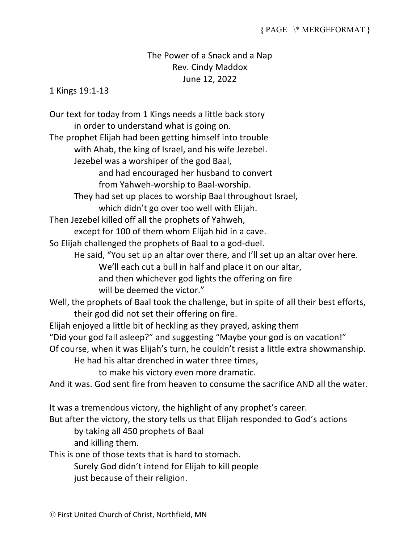## The Power of a Snack and a Nap Rev. Cindy Maddox June 12, 2022

1 Kings 19:1-13

Our text for today from 1 Kings needs a little back story in order to understand what is going on.

The prophet Elijah had been getting himself into trouble with Ahab, the king of Israel, and his wife Jezebel.

Jezebel was a worshiper of the god Baal,

and had encouraged her husband to convert from Yahweh-worship to Baal-worship.

They had set up places to worship Baal throughout Israel,

which didn't go over too well with Elijah.

Then Jezebel killed off all the prophets of Yahweh,

except for 100 of them whom Elijah hid in a cave.

So Elijah challenged the prophets of Baal to a god-duel.

He said, "You set up an altar over there, and I'll set up an altar over here. We'll each cut a bull in half and place it on our altar, and then whichever god lights the offering on fire will be deemed the victor."

Well, the prophets of Baal took the challenge, but in spite of all their best efforts, their god did not set their offering on fire.

Elijah enjoyed a little bit of heckling as they prayed, asking them

"Did your god fall asleep?" and suggesting "Maybe your god is on vacation!"

Of course, when it was Elijah's turn, he couldn't resist a little extra showmanship.

He had his altar drenched in water three times,

to make his victory even more dramatic.

And it was. God sent fire from heaven to consume the sacrifice AND all the water.

It was a tremendous victory, the highlight of any prophet's career.

But after the victory, the story tells us that Elijah responded to God's actions

by taking all 450 prophets of Baal

and killing them.

This is one of those texts that is hard to stomach.

Surely God didn't intend for Elijah to kill people

just because of their religion.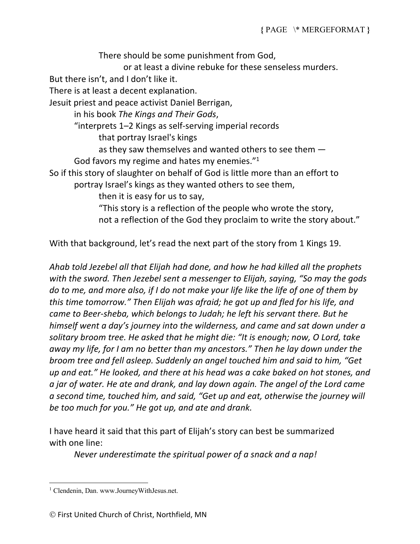There should be some punishment from God, or at least a divine rebuke for these senseless murders. But there isn't, and I don't like it. There is at least a decent explanation. Jesuit priest and peace activist Daniel Berrigan, in his book *The Kings and Their Gods*, "interprets 1–2 Kings as self-serving imperial records that portray Israel's kings as they saw themselves and wanted others to see them — God favors my regime and hates my enemies."1 So if this story of slaughter on behalf of God is little more than an effort to portray Israel's kings as they wanted others to see them, then it is easy for us to say, "This story is a reflection of the people who wrote the story, not a reflection of the God they proclaim to write the story about."

With that background, let's read the next part of the story from 1 Kings 19.

*Ahab told Jezebel all that Elijah had done, and how he had killed all the prophets with the sword. Then Jezebel sent a messenger to Elijah, saying, "So may the gods do to me, and more also, if I do not make your life like the life of one of them by this time tomorrow." Then Elijah was afraid; he got up and fled for his life, and came to Beer-sheba, which belongs to Judah; he left his servant there. But he himself went a day's journey into the wilderness, and came and sat down under a solitary broom tree. He asked that he might die: "It is enough; now, O Lord, take away my life, for I am no better than my ancestors." Then he lay down under the broom tree and fell asleep. Suddenly an angel touched him and said to him, "Get up and eat." He looked, and there at his head was a cake baked on hot stones, and a jar of water. He ate and drank, and lay down again. The angel of the Lord came a second time, touched him, and said, "Get up and eat, otherwise the journey will be too much for you." He got up, and ate and drank.* 

I have heard it said that this part of Elijah's story can best be summarized with one line:

*Never underestimate the spiritual power of a snack and a nap!*

<sup>&</sup>lt;sup>1</sup> Clendenin, Dan. www.JourneyWithJesus.net.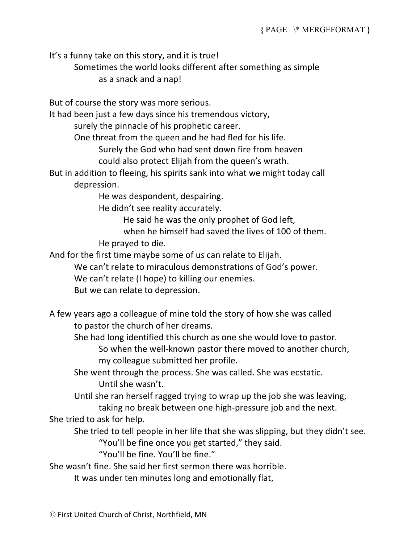It's a funny take on this story, and it is true!

Sometimes the world looks different after something as simple as a snack and a nap!

But of course the story was more serious.

It had been just a few days since his tremendous victory,

surely the pinnacle of his prophetic career.

One threat from the queen and he had fled for his life.

Surely the God who had sent down fire from heaven

could also protect Elijah from the queen's wrath.

But in addition to fleeing, his spirits sank into what we might today call depression.

He was despondent, despairing.

He didn't see reality accurately.

He said he was the only prophet of God left,

when he himself had saved the lives of 100 of them.

He prayed to die.

And for the first time maybe some of us can relate to Elijah.

We can't relate to miraculous demonstrations of God's power.

We can't relate (I hope) to killing our enemies.

But we can relate to depression.

A few years ago a colleague of mine told the story of how she was called to pastor the church of her dreams.

She had long identified this church as one she would love to pastor.

So when the well-known pastor there moved to another church, my colleague submitted her profile.

She went through the process. She was called. She was ecstatic. Until she wasn't.

Until she ran herself ragged trying to wrap up the job she was leaving, taking no break between one high-pressure job and the next.

She tried to ask for help.

She tried to tell people in her life that she was slipping, but they didn't see.

"You'll be fine once you get started," they said.

"You'll be fine. You'll be fine."

She wasn't fine. She said her first sermon there was horrible.

It was under ten minutes long and emotionally flat,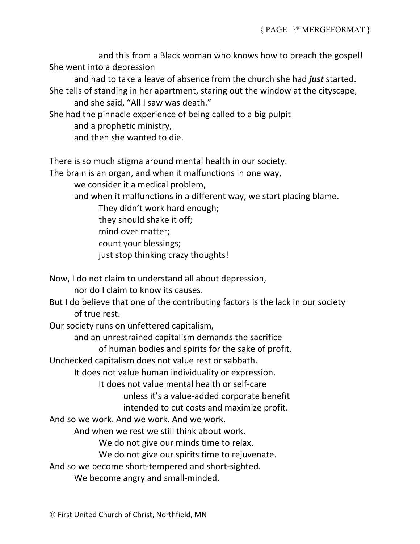and this from a Black woman who knows how to preach the gospel! She went into a depression

and had to take a leave of absence from the church she had *just* started. She tells of standing in her apartment, staring out the window at the cityscape, and she said, "All I saw was death."

She had the pinnacle experience of being called to a big pulpit and a prophetic ministry,

and then she wanted to die.

There is so much stigma around mental health in our society.

The brain is an organ, and when it malfunctions in one way,

we consider it a medical problem,

and when it malfunctions in a different way, we start placing blame.

They didn't work hard enough;

- they should shake it off;
- mind over matter;

count your blessings;

just stop thinking crazy thoughts!

Now, I do not claim to understand all about depression, nor do I claim to know its causes.

But I do believe that one of the contributing factors is the lack in our society of true rest.

Our society runs on unfettered capitalism,

and an unrestrained capitalism demands the sacrifice

of human bodies and spirits for the sake of profit.

Unchecked capitalism does not value rest or sabbath.

It does not value human individuality or expression.

It does not value mental health or self-care

unless it's a value-added corporate benefit

intended to cut costs and maximize profit.

And so we work. And we work. And we work.

And when we rest we still think about work.

We do not give our minds time to relax.

We do not give our spirits time to rejuvenate.

And so we become short-tempered and short-sighted.

We become angry and small-minded.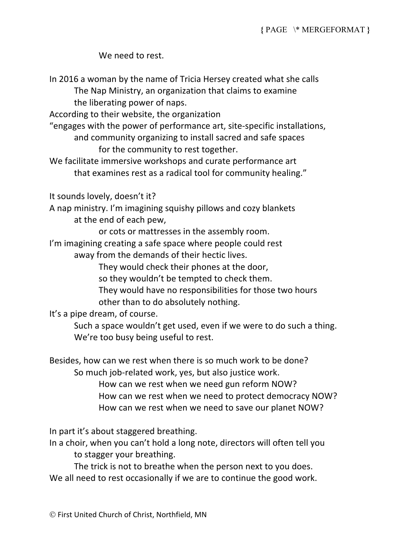We need to rest.

In 2016 a woman by the name of Tricia Hersey created what she calls The Nap Ministry, an organization that claims to examine the liberating power of naps. According to their website, the organization "engages with the power of performance art, site-specific installations, and community organizing to install sacred and safe spaces for the community to rest together. We facilitate immersive workshops and curate performance art that examines rest as a radical tool for community healing." It sounds lovely, doesn't it? A nap ministry. I'm imagining squishy pillows and cozy blankets at the end of each pew, or cots or mattresses in the assembly room. I'm imagining creating a safe space where people could rest away from the demands of their hectic lives. They would check their phones at the door, so they wouldn't be tempted to check them. They would have no responsibilities for those two hours other than to do absolutely nothing. It's a pipe dream, of course. Such a space wouldn't get used, even if we were to do such a thing. We're too busy being useful to rest. Besides, how can we rest when there is so much work to be done? So much job-related work, yes, but also justice work. How can we rest when we need gun reform NOW? How can we rest when we need to protect democracy NOW? How can we rest when we need to save our planet NOW? In part it's about staggered breathing. In a choir, when you can't hold a long note, directors will often tell you to stagger your breathing. The trick is not to breathe when the person next to you does. We all need to rest occasionally if we are to continue the good work.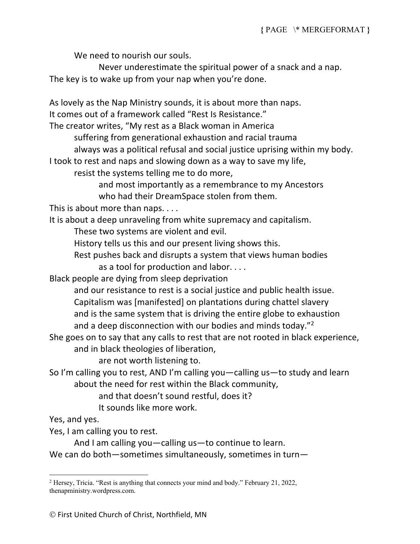We need to nourish our souls.

Never underestimate the spiritual power of a snack and a nap. The key is to wake up from your nap when you're done.

As lovely as the Nap Ministry sounds, it is about more than naps. It comes out of a framework called "Rest Is Resistance." The creator writes, "My rest as a Black woman in America suffering from generational exhaustion and racial trauma always was a political refusal and social justice uprising within my body. I took to rest and naps and slowing down as a way to save my life, resist the systems telling me to do more, and most importantly as a remembrance to my Ancestors who had their DreamSpace stolen from them. This is about more than naps. . . . It is about a deep unraveling from white supremacy and capitalism. These two systems are violent and evil. History tells us this and our present living shows this. Rest pushes back and disrupts a system that views human bodies as a tool for production and labor. . . . Black people are dying from sleep deprivation and our resistance to rest is a social justice and public health issue. Capitalism was [manifested] on plantations during chattel slavery and is the same system that is driving the entire globe to exhaustion and a deep disconnection with our bodies and minds today."2 She goes on to say that any calls to rest that are not rooted in black experience, and in black theologies of liberation, are not worth listening to. So I'm calling you to rest, AND I'm calling you—calling us—to study and learn about the need for rest within the Black community, and that doesn't sound restful, does it?

It sounds like more work.

Yes, and yes.

Yes, I am calling you to rest.

And I am calling you—calling us—to continue to learn. We can do both—sometimes simultaneously, sometimes in turn—

<sup>2</sup> Hersey, Tricia. "Rest is anything that connects your mind and body." February 21, 2022, thenapministry.wordpress.com.